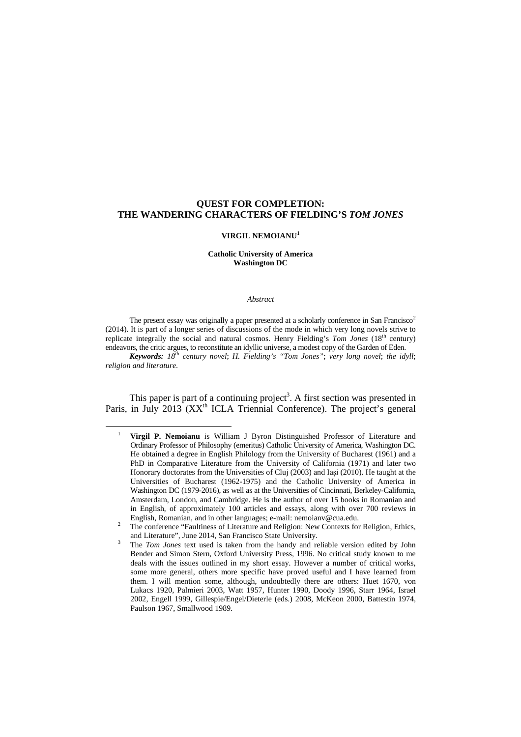# **QUEST FOR COMPLETION: THE WANDERING CHARACTERS OF FIELDING'S** *TOM JONES*

## **VIRGIL NEMOIANU<sup>1</sup>**

## **Catholic University of America Washington DC**

#### *Abstract*

The present essay was originally a paper presented at a scholarly conference in San Francisco<sup>2</sup> (2014). It is part of a longer series of discussions of the mode in which very long novels strive to replicate integrally the social and natural cosmos. Henry Fielding's Tom Jones (18<sup>th</sup> century) endeavors, the critic argues, to reconstitute an idyllic universe, a modest copy of the Garden of Eden.

*Keywords: 18th century novel*; *H. Fielding's "Tom Jones"*; *very long novel*; *the idyll*; *religion and literature*.

This paper is part of a continuing project<sup>3</sup>. A first section was presented in Paris, in July 2013 ( $XX<sup>th</sup>$  ICLA Triennial Conference). The project's general

l

<sup>1</sup>  **Virgil P. Nemoianu** is William J Byron Distinguished Professor of Literature and Ordinary Professor of Philosophy (emeritus) Catholic University of America, Washington DC. He obtained a degree in English Philology from the University of Bucharest (1961) and a PhD in Comparative Literature from the University of California (1971) and later two Honorary doctorates from the Universities of Cluj (2003) and Iași (2010). He taught at the Universities of Bucharest (1962-1975) and the Catholic University of America in Washington DC (1979-2016), as well as at the Universities of Cincinnati, Berkeley-California, Amsterdam, London, and Cambridge. He is the author of over 15 books in Romanian and in English, of approximately 100 articles and essays, along with over 700 reviews in English, Romanian, and in other languages; e-mail: nemoianv@cua.edu.

<sup>2</sup> The conference "Faultiness of Literature and Religion: New Contexts for Religion, Ethics, and Literature", June 2014, San Francisco State University.

<sup>3</sup> The *Tom Jones* text used is taken from the handy and reliable version edited by John Bender and Simon Stern, Oxford University Press, 1996. No critical study known to me deals with the issues outlined in my short essay. However a number of critical works, some more general, others more specific have proved useful and I have learned from them. I will mention some, although, undoubtedly there are others: Huet 1670, von Lukacs 1920, Palmieri 2003, Watt 1957, Hunter 1990, Doody 1996, Starr 1964, Israel 2002, Engell 1999, Gillespie/Engel/Dieterle (eds.) 2008, McKeon 2000, Battestin 1974, Paulson 1967, Smallwood 1989.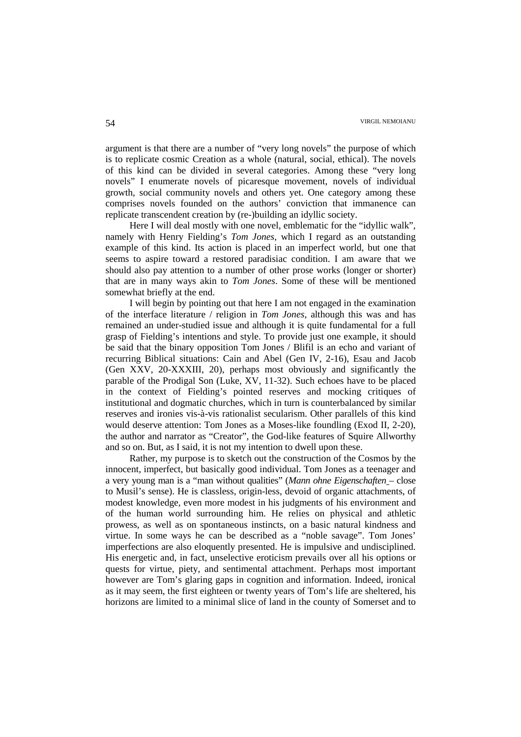argument is that there are a number of "very long novels" the purpose of which is to replicate cosmic Creation as a whole (natural, social, ethical). The novels of this kind can be divided in several categories. Among these "very long novels" I enumerate novels of picaresque movement, novels of individual growth, social community novels and others yet. One category among these comprises novels founded on the authors' conviction that immanence can replicate transcendent creation by (re-)building an idyllic society.

Here I will deal mostly with one novel, emblematic for the "idyllic walk", namely with Henry Fielding's *Tom Jones*, which I regard as an outstanding example of this kind. Its action is placed in an imperfect world, but one that seems to aspire toward a restored paradisiac condition. I am aware that we should also pay attention to a number of other prose works (longer or shorter) that are in many ways akin to *Tom Jones*. Some of these will be mentioned somewhat briefly at the end.

I will begin by pointing out that here I am not engaged in the examination of the interface literature / religion in *Tom Jones*, although this was and has remained an under-studied issue and although it is quite fundamental for a full grasp of Fielding's intentions and style. To provide just one example, it should be said that the binary opposition Tom Jones / Blifil is an echo and variant of recurring Biblical situations: Cain and Abel (Gen IV, 2-16), Esau and Jacob (Gen XXV, 20-XXXIII, 20), perhaps most obviously and significantly the parable of the Prodigal Son (Luke, XV, 11-32). Such echoes have to be placed in the context of Fielding's pointed reserves and mocking critiques of institutional and dogmatic churches, which in turn is counterbalanced by similar reserves and ironies vis-à-vis rationalist secularism. Other parallels of this kind would deserve attention: Tom Jones as a Moses-like foundling (Exod II, 2-20), the author and narrator as "Creator", the God-like features of Squire Allworthy and so on. But, as I said, it is not my intention to dwell upon these.

Rather, my purpose is to sketch out the construction of the Cosmos by the innocent, imperfect, but basically good individual. Tom Jones as a teenager and a very young man is a "man without qualities" (*Mann ohne Eigenschaften* – close to Musil's sense). He is classless, origin-less, devoid of organic attachments, of modest knowledge, even more modest in his judgments of his environment and of the human world surrounding him. He relies on physical and athletic prowess, as well as on spontaneous instincts, on a basic natural kindness and virtue. In some ways he can be described as a "noble savage". Tom Jones' imperfections are also eloquently presented. He is impulsive and undisciplined. His energetic and, in fact, unselective eroticism prevails over all his options or quests for virtue, piety, and sentimental attachment. Perhaps most important however are Tom's glaring gaps in cognition and information. Indeed, ironical as it may seem, the first eighteen or twenty years of Tom's life are sheltered, his horizons are limited to a minimal slice of land in the county of Somerset and to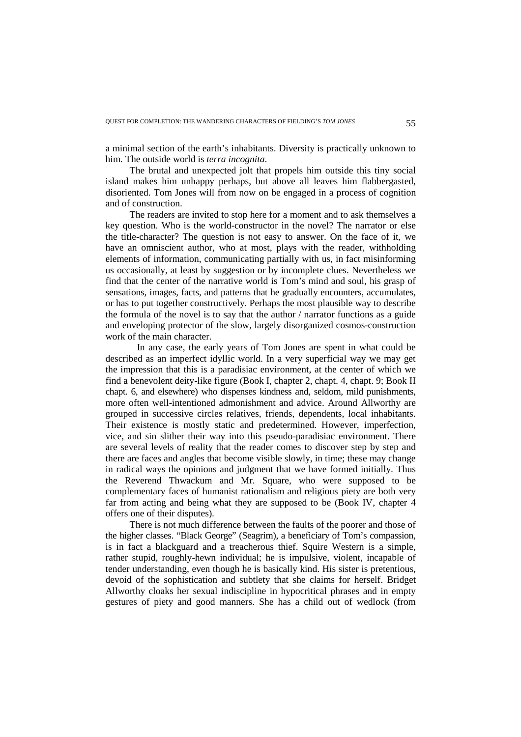a minimal section of the earth's inhabitants. Diversity is practically unknown to him. The outside world is *terra incognita*.

The brutal and unexpected jolt that propels him outside this tiny social island makes him unhappy perhaps, but above all leaves him flabbergasted, disoriented. Tom Jones will from now on be engaged in a process of cognition and of construction.

The readers are invited to stop here for a moment and to ask themselves a key question. Who is the world-constructor in the novel? The narrator or else the title-character? The question is not easy to answer. On the face of it, we have an omniscient author, who at most, plays with the reader, withholding elements of information, communicating partially with us, in fact misinforming us occasionally, at least by suggestion or by incomplete clues. Nevertheless we find that the center of the narrative world is Tom's mind and soul, his grasp of sensations, images, facts, and patterns that he gradually encounters, accumulates, or has to put together constructively. Perhaps the most plausible way to describe the formula of the novel is to say that the author / narrator functions as a guide and enveloping protector of the slow, largely disorganized cosmos-construction work of the main character.

 In any case, the early years of Tom Jones are spent in what could be described as an imperfect idyllic world. In a very superficial way we may get the impression that this is a paradisiac environment, at the center of which we find a benevolent deity-like figure (Book I, chapter 2, chapt. 4, chapt. 9; Book II chapt. 6, and elsewhere) who dispenses kindness and, seldom, mild punishments, more often well-intentioned admonishment and advice. Around Allworthy are grouped in successive circles relatives, friends, dependents, local inhabitants. Their existence is mostly static and predetermined. However, imperfection, vice, and sin slither their way into this pseudo-paradisiac environment. There are several levels of reality that the reader comes to discover step by step and there are faces and angles that become visible slowly, in time; these may change in radical ways the opinions and judgment that we have formed initially. Thus the Reverend Thwackum and Mr. Square, who were supposed to be complementary faces of humanist rationalism and religious piety are both very far from acting and being what they are supposed to be (Book IV, chapter 4 offers one of their disputes).

There is not much difference between the faults of the poorer and those of the higher classes. "Black George" (Seagrim), a beneficiary of Tom's compassion, is in fact a blackguard and a treacherous thief. Squire Western is a simple, rather stupid, roughly-hewn individual; he is impulsive, violent, incapable of tender understanding, even though he is basically kind. His sister is pretentious, devoid of the sophistication and subtlety that she claims for herself. Bridget Allworthy cloaks her sexual indiscipline in hypocritical phrases and in empty gestures of piety and good manners. She has a child out of wedlock (from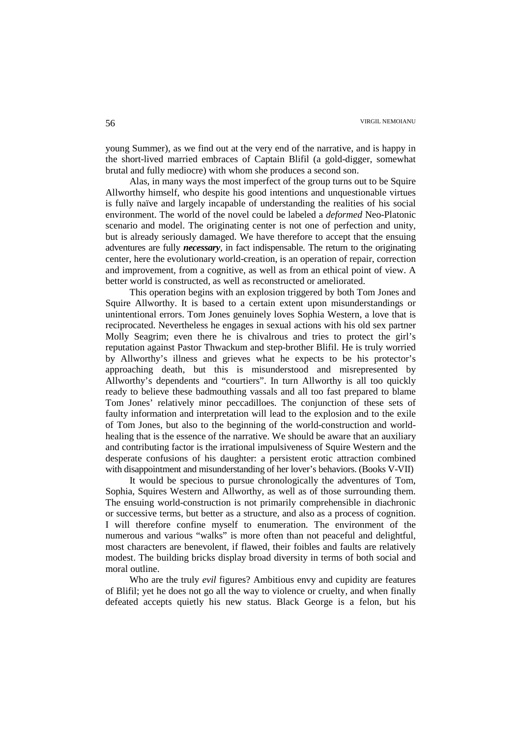young Summer), as we find out at the very end of the narrative, and is happy in the short-lived married embraces of Captain Blifil (a gold-digger, somewhat brutal and fully mediocre) with whom she produces a second son.

Alas, in many ways the most imperfect of the group turns out to be Squire Allworthy himself, who despite his good intentions and unquestionable virtues is fully naïve and largely incapable of understanding the realities of his social environment. The world of the novel could be labeled a *deformed* Neo-Platonic scenario and model. The originating center is not one of perfection and unity, but is already seriously damaged. We have therefore to accept that the ensuing adventures are fully *necessary*, in fact indispensable. The return to the originating center, here the evolutionary world-creation, is an operation of repair, correction and improvement, from a cognitive, as well as from an ethical point of view. A better world is constructed, as well as reconstructed or ameliorated.

This operation begins with an explosion triggered by both Tom Jones and Squire Allworthy. It is based to a certain extent upon misunderstandings or unintentional errors. Tom Jones genuinely loves Sophia Western, a love that is reciprocated. Nevertheless he engages in sexual actions with his old sex partner Molly Seagrim; even there he is chivalrous and tries to protect the girl's reputation against Pastor Thwackum and step-brother Blifil. He is truly worried by Allworthy's illness and grieves what he expects to be his protector's approaching death, but this is misunderstood and misrepresented by Allworthy's dependents and "courtiers". In turn Allworthy is all too quickly ready to believe these badmouthing vassals and all too fast prepared to blame Tom Jones' relatively minor peccadilloes. The conjunction of these sets of faulty information and interpretation will lead to the explosion and to the exile of Tom Jones, but also to the beginning of the world-construction and worldhealing that is the essence of the narrative. We should be aware that an auxiliary and contributing factor is the irrational impulsiveness of Squire Western and the desperate confusions of his daughter: a persistent erotic attraction combined with disappointment and misunderstanding of her lover's behaviors. (Books V-VII)

It would be specious to pursue chronologically the adventures of Tom, Sophia, Squires Western and Allworthy, as well as of those surrounding them. The ensuing world-construction is not primarily comprehensible in diachronic or successive terms, but better as a structure, and also as a process of cognition. I will therefore confine myself to enumeration. The environment of the numerous and various "walks" is more often than not peaceful and delightful, most characters are benevolent, if flawed, their foibles and faults are relatively modest. The building bricks display broad diversity in terms of both social and moral outline.

Who are the truly *evil* figures? Ambitious envy and cupidity are features of Blifil; yet he does not go all the way to violence or cruelty, and when finally defeated accepts quietly his new status. Black George is a felon, but his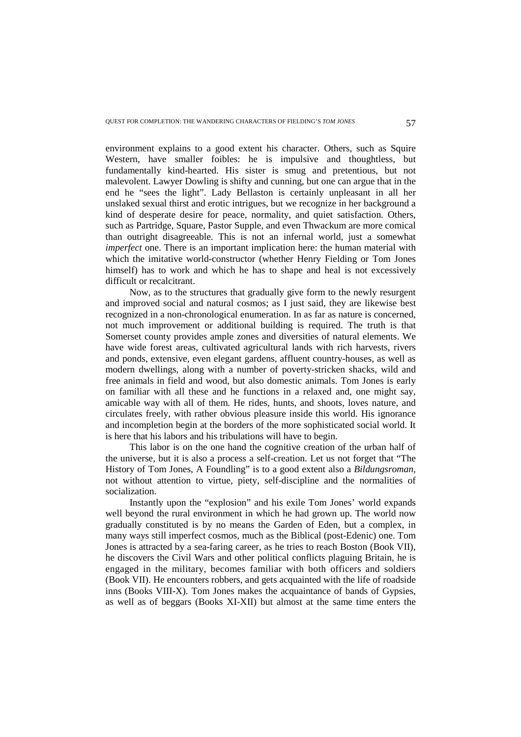environment explains to a good extent his character. Others, such as Squire Western, have smaller foibles: he is impulsive and thoughtless, but fundamentally kind-hearted. His sister is smug and pretentious, but not malevolent. Lawyer Dowling is shifty and cunning, but one can argue that in the end he "sees the light". Lady Bellaston is certainly unpleasant in all her unslaked sexual thirst and erotic intrigues, but we recognize in her background a kind of desperate desire for peace, normality, and quiet satisfaction. Others, such as Partridge, Square, Pastor Supple, and even Thwackum are more comical than outright disagreeable. This is not an infernal world, just a somewhat *imperfect* one. There is an important implication here: the human material with which the imitative world-constructor (whether Henry Fielding or Tom Jones himself) has to work and which he has to shape and heal is not excessively difficult or recalcitrant.

Now, as to the structures that gradually give form to the newly resurgent and improved social and natural cosmos; as I just said, they are likewise best recognized in a non-chronological enumeration. In as far as nature is concerned, not much improvement or additional building is required. The truth is that Somerset county provides ample zones and diversities of natural elements. We have wide forest areas, cultivated agricultural lands with rich harvests, rivers and ponds, extensive, even elegant gardens, affluent country-houses, as well as modern dwellings, along with a number of poverty-stricken shacks, wild and free animals in field and wood, but also domestic animals. Tom Jones is early on familiar with all these and he functions in a relaxed and, one might say, amicable way with all of them. He rides, hunts, and shoots, loves nature, and circulates freely, with rather obvious pleasure inside this world. His ignorance and incompletion begin at the borders of the more sophisticated social world. It is here that his labors and his tribulations will have to begin.

This labor is on the one hand the cognitive creation of the urban half of the universe, but it is also a process a self-creation. Let us not forget that "The History of Tom Jones, A Foundling" is to a good extent also a *Bildungsroman*, not without attention to virtue, piety, self-discipline and the normalities of socialization.

Instantly upon the "explosion" and his exile Tom Jones' world expands well beyond the rural environment in which he had grown up. The world now gradually constituted is by no means the Garden of Eden, but a complex, in many ways still imperfect cosmos, much as the Biblical (post-Edenic) one. Tom Jones is attracted by a sea-faring career, as he tries to reach Boston (Book VII), he discovers the Civil Wars and other political conflicts plaguing Britain, he is engaged in the military, becomes familiar with both officers and soldiers (Book VII). He encounters robbers, and gets acquainted with the life of roadside inns (Books VIII-X). Tom Jones makes the acquaintance of bands of Gypsies, as well as of beggars (Books XI-XII) but almost at the same time enters the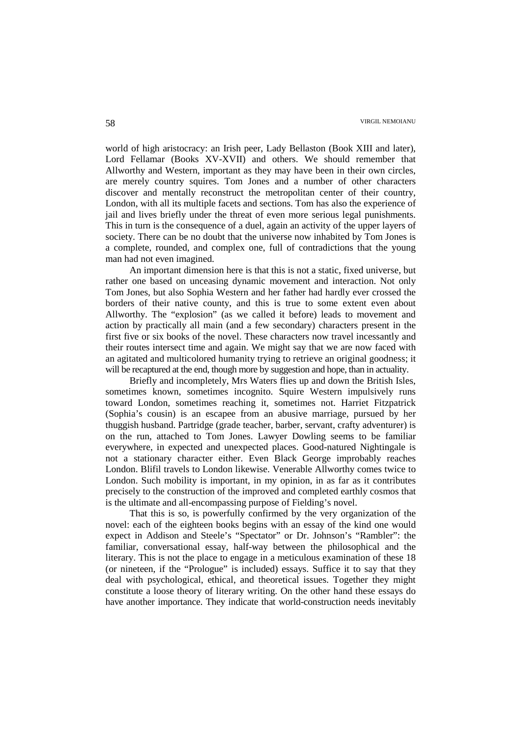world of high aristocracy: an Irish peer, Lady Bellaston (Book XIII and later), Lord Fellamar (Books XV-XVII) and others. We should remember that Allworthy and Western, important as they may have been in their own circles, are merely country squires. Tom Jones and a number of other characters discover and mentally reconstruct the metropolitan center of their country, London, with all its multiple facets and sections. Tom has also the experience of jail and lives briefly under the threat of even more serious legal punishments. This in turn is the consequence of a duel, again an activity of the upper layers of society. There can be no doubt that the universe now inhabited by Tom Jones is a complete, rounded, and complex one, full of contradictions that the young man had not even imagined.

An important dimension here is that this is not a static, fixed universe, but rather one based on unceasing dynamic movement and interaction. Not only Tom Jones, but also Sophia Western and her father had hardly ever crossed the borders of their native county, and this is true to some extent even about Allworthy. The "explosion" (as we called it before) leads to movement and action by practically all main (and a few secondary) characters present in the first five or six books of the novel. These characters now travel incessantly and their routes intersect time and again. We might say that we are now faced with an agitated and multicolored humanity trying to retrieve an original goodness; it will be recaptured at the end, though more by suggestion and hope, than in actuality.

Briefly and incompletely, Mrs Waters flies up and down the British Isles, sometimes known, sometimes incognito. Squire Western impulsively runs toward London, sometimes reaching it, sometimes not. Harriet Fitzpatrick (Sophia's cousin) is an escapee from an abusive marriage, pursued by her thuggish husband. Partridge (grade teacher, barber, servant, crafty adventurer) is on the run, attached to Tom Jones. Lawyer Dowling seems to be familiar everywhere, in expected and unexpected places. Good-natured Nightingale is not a stationary character either. Even Black George improbably reaches London. Blifil travels to London likewise. Venerable Allworthy comes twice to London. Such mobility is important, in my opinion, in as far as it contributes precisely to the construction of the improved and completed earthly cosmos that is the ultimate and all-encompassing purpose of Fielding's novel.

That this is so, is powerfully confirmed by the very organization of the novel: each of the eighteen books begins with an essay of the kind one would expect in Addison and Steele's "Spectator" or Dr. Johnson's "Rambler": the familiar, conversational essay, half-way between the philosophical and the literary. This is not the place to engage in a meticulous examination of these 18 (or nineteen, if the "Prologue" is included) essays. Suffice it to say that they deal with psychological, ethical, and theoretical issues. Together they might constitute a loose theory of literary writing. On the other hand these essays do have another importance. They indicate that world-construction needs inevitably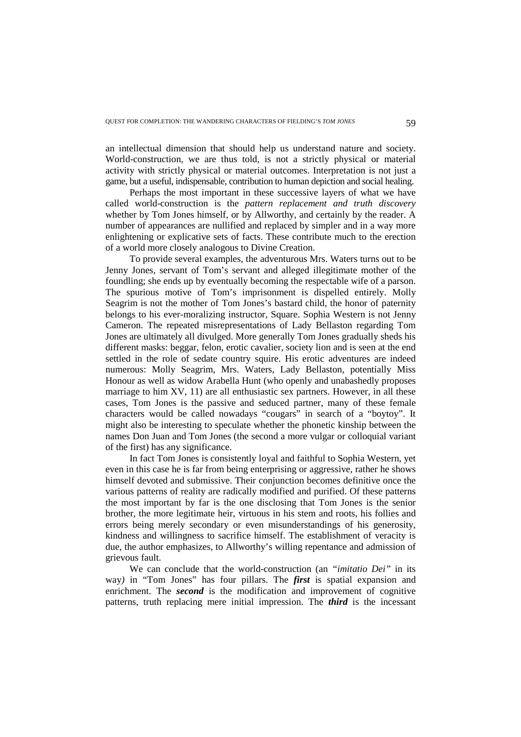an intellectual dimension that should help us understand nature and society. World-construction, we are thus told, is not a strictly physical or material activity with strictly physical or material outcomes. Interpretation is not just a game, but a useful, indispensable, contribution to human depiction and social healing.

Perhaps the most important in these successive layers of what we have called world-construction is the *pattern replacement and truth discovery* whether by Tom Jones himself, or by Allworthy, and certainly by the reader. A number of appearances are nullified and replaced by simpler and in a way more enlightening or explicative sets of facts. These contribute much to the erection of a world more closely analogous to Divine Creation.

To provide several examples, the adventurous Mrs. Waters turns out to be Jenny Jones, servant of Tom's servant and alleged illegitimate mother of the foundling; she ends up by eventually becoming the respectable wife of a parson. The spurious motive of Tom's imprisonment is dispelled entirely. Molly Seagrim is not the mother of Tom Jones's bastard child, the honor of paternity belongs to his ever-moralizing instructor, Square. Sophia Western is not Jenny Cameron. The repeated misrepresentations of Lady Bellaston regarding Tom Jones are ultimately all divulged. More generally Tom Jones gradually sheds his different masks: beggar, felon, erotic cavalier, society lion and is seen at the end settled in the role of sedate country squire. His erotic adventures are indeed numerous: Molly Seagrim, Mrs. Waters, Lady Bellaston, potentially Miss Honour as well as widow Arabella Hunt (who openly and unabashedly proposes marriage to him XV, 11) are all enthusiastic sex partners. However, in all these cases, Tom Jones is the passive and seduced partner, many of these female characters would be called nowadays "cougars" in search of a "boytoy". It might also be interesting to speculate whether the phonetic kinship between the names Don Juan and Tom Jones (the second a more vulgar or colloquial variant of the first) has any significance.

In fact Tom Jones is consistently loyal and faithful to Sophia Western, yet even in this case he is far from being enterprising or aggressive, rather he shows himself devoted and submissive. Their conjunction becomes definitive once the various patterns of reality are radically modified and purified. Of these patterns the most important by far is the one disclosing that Tom Jones is the senior brother, the more legitimate heir, virtuous in his stem and roots, his follies and errors being merely secondary or even misunderstandings of his generosity, kindness and willingness to sacrifice himself. The establishment of veracity is due, the author emphasizes, to Allworthy's willing repentance and admission of grievous fault.

We can conclude that the world-construction (an *"imitatio Dei"* in its way*)* in "Tom Jones" has four pillars. The *first* is spatial expansion and enrichment. The *second* is the modification and improvement of cognitive patterns, truth replacing mere initial impression. The *third* is the incessant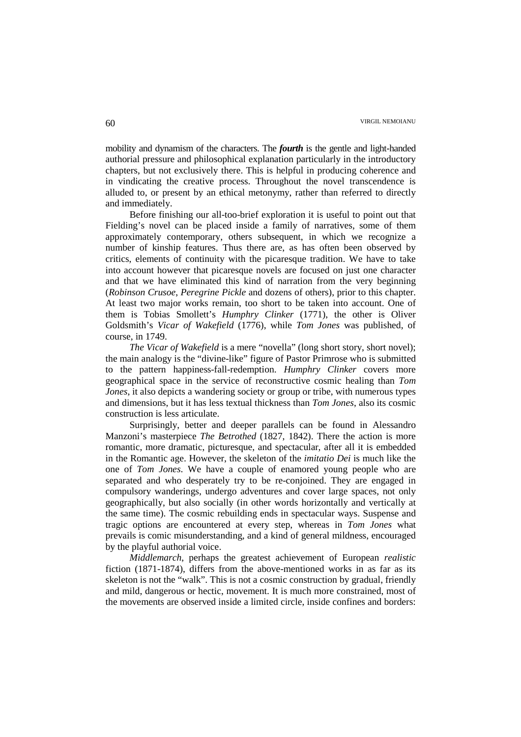mobility and dynamism of the characters. The *fourth* is the gentle and light-handed authorial pressure and philosophical explanation particularly in the introductory chapters, but not exclusively there. This is helpful in producing coherence and in vindicating the creative process. Throughout the novel transcendence is alluded to, or present by an ethical metonymy, rather than referred to directly and immediately.

Before finishing our all-too-brief exploration it is useful to point out that Fielding's novel can be placed inside a family of narratives, some of them approximately contemporary, others subsequent, in which we recognize a number of kinship features. Thus there are, as has often been observed by critics, elements of continuity with the picaresque tradition. We have to take into account however that picaresque novels are focused on just one character and that we have eliminated this kind of narration from the very beginning (*Robinson Crusoe*, *Peregrine Pickle* and dozens of others), prior to this chapter. At least two major works remain, too short to be taken into account. One of them is Tobias Smollett's *Humphry Clinker* (1771), the other is Oliver Goldsmith's *Vicar of Wakefield* (1776), while *Tom Jones* was published, of course, in 1749.

*The Vicar of Wakefield* is a mere "novella" (long short story, short novel); the main analogy is the "divine-like" figure of Pastor Primrose who is submitted to the pattern happiness-fall-redemption. *Humphry Clinker* covers more geographical space in the service of reconstructive cosmic healing than *Tom Jones*, it also depicts a wandering society or group or tribe, with numerous types and dimensions, but it has less textual thickness than *Tom Jones*, also its cosmic construction is less articulate.

Surprisingly, better and deeper parallels can be found in Alessandro Manzoni's masterpiece *The Betrothed* (1827, 1842). There the action is more romantic, more dramatic, picturesque, and spectacular, after all it is embedded in the Romantic age. However, the skeleton of the *imitatio Dei* is much like the one of *Tom Jones*. We have a couple of enamored young people who are separated and who desperately try to be re-conjoined. They are engaged in compulsory wanderings, undergo adventures and cover large spaces, not only geographically, but also socially (in other words horizontally and vertically at the same time). The cosmic rebuilding ends in spectacular ways. Suspense and tragic options are encountered at every step, whereas in *Tom Jones* what prevails is comic misunderstanding, and a kind of general mildness, encouraged by the playful authorial voice.

*Middlemarch*, perhaps the greatest achievement of European *realistic* fiction (1871-1874), differs from the above-mentioned works in as far as its skeleton is not the "walk". This is not a cosmic construction by gradual, friendly and mild, dangerous or hectic, movement. It is much more constrained, most of the movements are observed inside a limited circle, inside confines and borders: